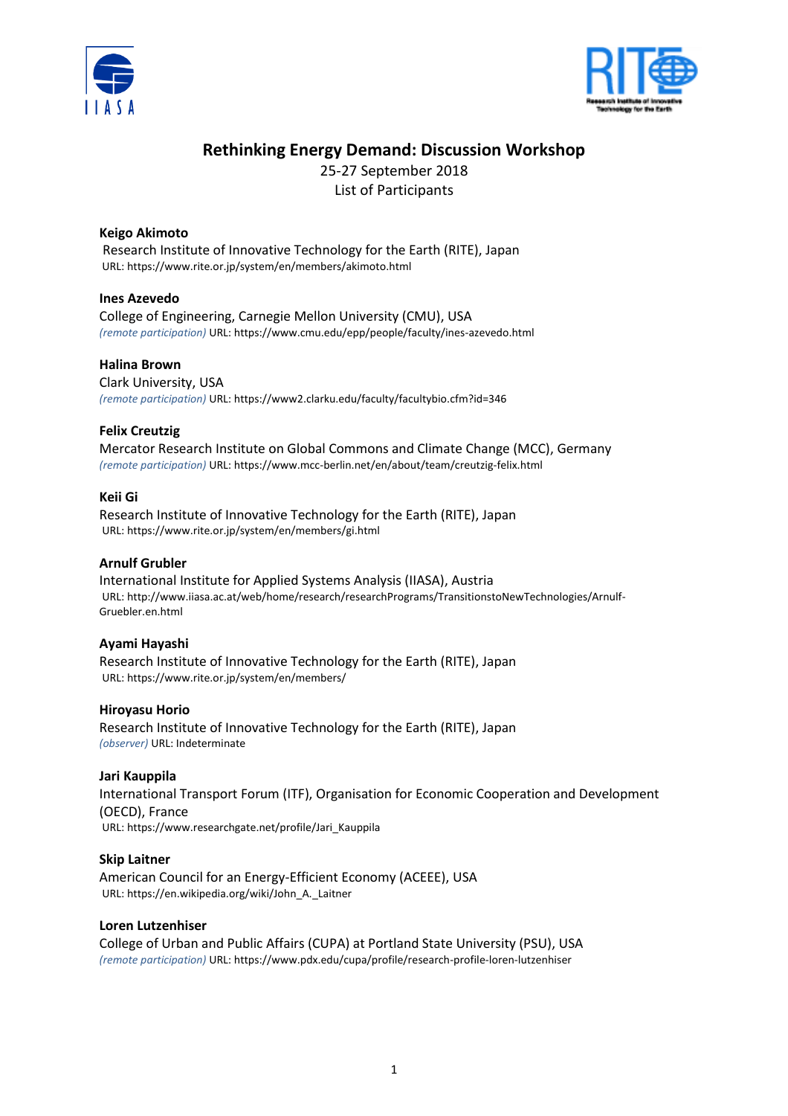



# **Rethinking Energy Demand: Discussion Workshop**

25-27 September 2018 List of Participants

# **Keigo Akimoto**

Research Institute of Innovative Technology for the Earth (RITE), Japan URL: https://www.rite.or.jp/system/en/members/akimoto.html

# **Ines Azevedo**

College of Engineering, Carnegie Mellon University (CMU), USA *(remote participation)* URL: https://www.cmu.edu/epp/people/faculty/ines-azevedo.html

## **Halina Brown**

Clark University, USA *(remote participation)* URL: https://www2.clarku.edu/faculty/facultybio.cfm?id=346

# **Felix Creutzig**

Mercator Research Institute on Global Commons and Climate Change (MCC), Germany *(remote participation)* URL: https://www.mcc-berlin.net/en/about/team/creutzig-felix.html

## **Keii Gi**

Research Institute of Innovative Technology for the Earth (RITE), Japan URL: https://www.rite.or.jp/system/en/members/gi.html

## **Arnulf Grubler**

International Institute for Applied Systems Analysis (IIASA), Austria URL: http://www.iiasa.ac.at/web/home/research/researchPrograms/TransitionstoNewTechnologies/Arnulf-Gruebler.en.html

# **Ayami Hayashi**

Research Institute of Innovative Technology for the Earth (RITE), Japan URL: https://www.rite.or.jp/system/en/members/

# **Hiroyasu Horio**

Research Institute of Innovative Technology for the Earth (RITE), Japan *(observer)* URL: Indeterminate

## **Jari Kauppila**

International Transport Forum (ITF), Organisation for Economic Cooperation and Development (OECD), France URL: https://www.researchgate.net/profile/Jari\_Kauppila

# **Skip Laitner**

American Council for an Energy-Efficient Economy (ACEEE), USA URL: https://en.wikipedia.org/wiki/John\_A.\_Laitner

# **Loren Lutzenhiser**

College of Urban and Public Affairs (CUPA) at Portland State University (PSU), USA *(remote participation)* URL: https://www.pdx.edu/cupa/profile/research-profile-loren-lutzenhiser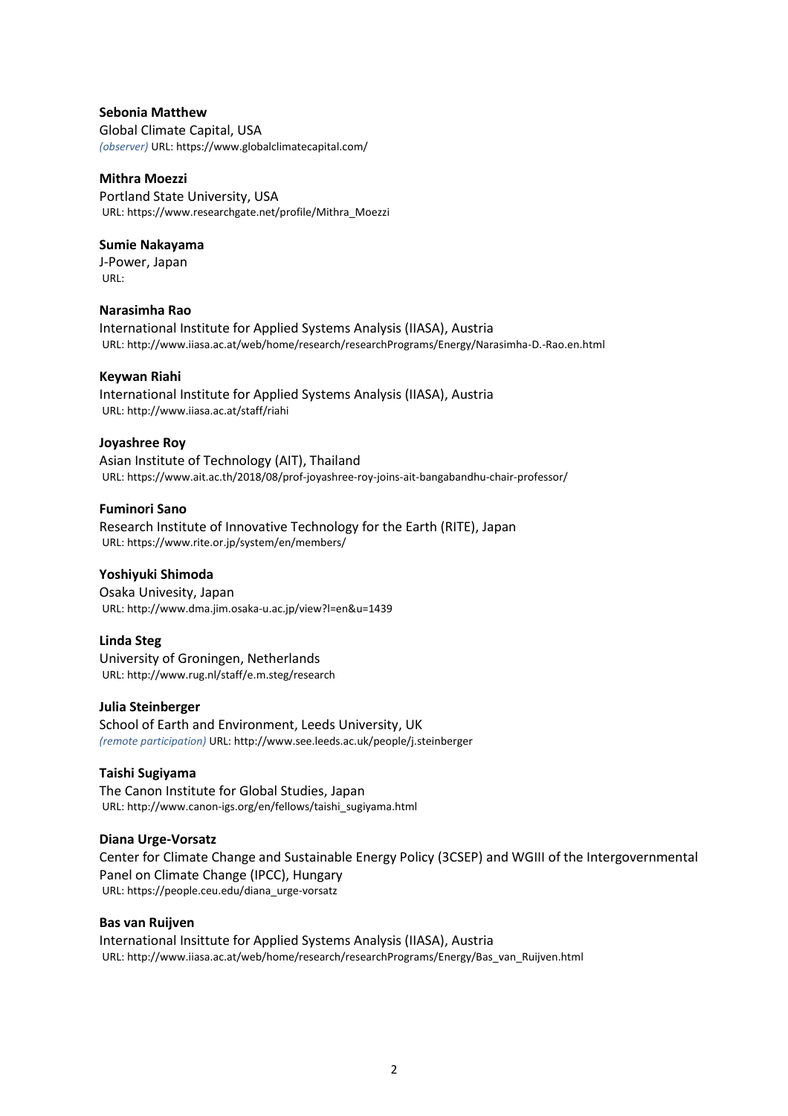## **Sebonia Matthew**

Global Climate Capital, USA *(observer)* URL: https://www.globalclimatecapital.com/

## **Mithra Moezzi**

Portland State University, USA URL: https://www.researchgate.net/profile/Mithra\_Moezzi

## **Sumie Nakayama**

J-Power, Japan URL:

## **Narasimha Rao**

International Institute for Applied Systems Analysis (IIASA), Austria URL: http://www.iiasa.ac.at/web/home/research/researchPrograms/Energy/Narasimha-D.-Rao.en.html

## **Keywan Riahi**

International Institute for Applied Systems Analysis (IIASA), Austria URL: http://www.iiasa.ac.at/staff/riahi

## **Joyashree Roy**

Asian Institute of Technology (AIT), Thailand URL: https://www.ait.ac.th/2018/08/prof-joyashree-roy-joins-ait-bangabandhu-chair-professor/

## **Fuminori Sano**

Research Institute of Innovative Technology for the Earth (RITE), Japan URL: https://www.rite.or.jp/system/en/members/

# **Yoshiyuki Shimoda**

Osaka Univesity, Japan URL: http://www.dma.jim.osaka-u.ac.jp/view?l=en&u=1439

## **Linda Steg**

University of Groningen, Netherlands URL: http://www.rug.nl/staff/e.m.steg/research

## **Julia Steinberger**

School of Earth and Environment, Leeds University, UK *(remote participation)* URL: http://www.see.leeds.ac.uk/people/j.steinberger

## **Taishi Sugiyama**

The Canon Institute for Global Studies, Japan URL: http://www.canon-igs.org/en/fellows/taishi\_sugiyama.html

# **Diana Urge-Vorsatz**

Center for Climate Change and Sustainable Energy Policy (3CSEP) and WGIII of the Intergovernmental Panel on Climate Change (IPCC), Hungary URL: https://people.ceu.edu/diana\_urge-vorsatz

## **Bas van Ruijven**

International Insittute for Applied Systems Analysis (IIASA), Austria URL: http://www.iiasa.ac.at/web/home/research/researchPrograms/Energy/Bas\_van\_Ruijven.html